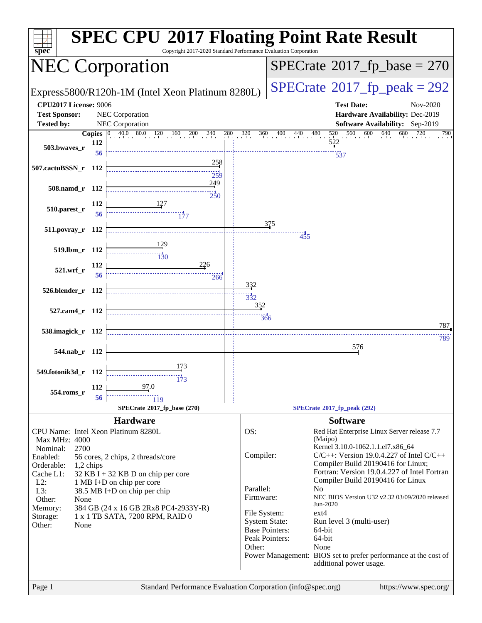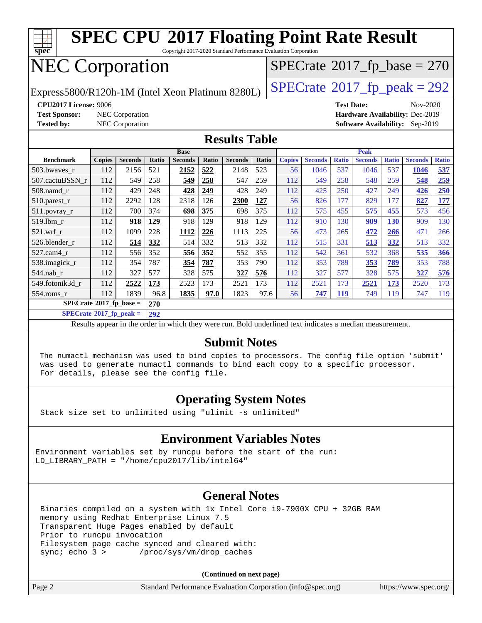

Copyright 2017-2020 Standard Performance Evaluation Corporation

# NEC Corporation

Express5800/R120h-1M (Intel Xeon Platinum 8280L)  $\vert$  [SPECrate](http://www.spec.org/auto/cpu2017/Docs/result-fields.html#SPECrate2017fppeak)®[2017\\_fp\\_peak = 2](http://www.spec.org/auto/cpu2017/Docs/result-fields.html#SPECrate2017fppeak)92

 $SPECTate$ <sup>®</sup>[2017\\_fp\\_base =](http://www.spec.org/auto/cpu2017/Docs/result-fields.html#SPECrate2017fpbase) 270

**[Test Sponsor:](http://www.spec.org/auto/cpu2017/Docs/result-fields.html#TestSponsor)** NEC Corporation **[Hardware Availability:](http://www.spec.org/auto/cpu2017/Docs/result-fields.html#HardwareAvailability)** Dec-2019

**[CPU2017 License:](http://www.spec.org/auto/cpu2017/Docs/result-fields.html#CPU2017License)** 9006 **[Test Date:](http://www.spec.org/auto/cpu2017/Docs/result-fields.html#TestDate)** Nov-2020 **[Tested by:](http://www.spec.org/auto/cpu2017/Docs/result-fields.html#Testedby)** NEC Corporation **[Software Availability:](http://www.spec.org/auto/cpu2017/Docs/result-fields.html#SoftwareAvailability)** Sep-2019

#### **[Results Table](http://www.spec.org/auto/cpu2017/Docs/result-fields.html#ResultsTable)**

|                                  | <b>Base</b>   |                |       |                | <b>Peak</b> |                |       |               |                |              |                |              |                |              |
|----------------------------------|---------------|----------------|-------|----------------|-------------|----------------|-------|---------------|----------------|--------------|----------------|--------------|----------------|--------------|
| <b>Benchmark</b>                 | <b>Copies</b> | <b>Seconds</b> | Ratio | <b>Seconds</b> | Ratio       | <b>Seconds</b> | Ratio | <b>Copies</b> | <b>Seconds</b> | <b>Ratio</b> | <b>Seconds</b> | <b>Ratio</b> | <b>Seconds</b> | <b>Ratio</b> |
| 503.bwayes_r                     | 112           | 2156           | 521   | 2152           | 522         | 2148           | 523   | 56            | 1046           | 537          | 1046           | 537          | 1046           | 537          |
| 507.cactuBSSN r                  | 112           | 549            | 258   | 549            | 258         | 547            | 259   | 112           | 549            | 258          | 548            | 259          | 548            | 259          |
| $508$ .namd $r$                  | 112           | 429            | 248   | 428            | <u>249</u>  | 428            | 249   | 112           | 425            | 250          | 427            | 249          | 426            | 250          |
| 510.parest_r                     | 112           | 2292           | 128   | 2318           | 126         | 2300           | 127   | 56            | 826            | 177          | 829            | 177          | 827            | 177          |
| 511.povray_r                     | 112           | 700            | 374   | 698            | 375         | 698            | 375   | 112           | 575            | 455          | 575            | 455          | 573            | 456          |
| $519$ .lbm $r$                   | 112           | 918            | 129   | 918            | 129         | 918            | 129   | 112           | 910            | 130          | 909            | <b>130</b>   | 909            | 130          |
| $521$ .wrf r                     | 112           | 1099           | 228   | 1112           | 226         | 1113           | 225   | 56            | 473            | 265          | 472            | 266          | 471            | 266          |
| 526.blender r                    | 112           | 514            | 332   | 514            | 332         | 513            | 332   | 112           | 515            | 331          | 513            | <u>332</u>   | 513            | 332          |
| $527$ .cam $4$ r                 | 112           | 556            | 352   | 556            | 352         | 552            | 355   | 112           | 542            | 361          | 532            | 368          | 535            | <b>366</b>   |
| 538.imagick_r                    | 112           | 354            | 787   | 354            | 787         | 353            | 790   | 112           | 353            | 789          | 353            | 789          | 353            | 788          |
| $544$ .nab r                     | 112           | 327            | 577   | 328            | 575         | 327            | 576   | 112           | 327            | 577          | 328            | 575          | 327            | 576          |
| 549.fotonik3d r                  | 112           | 2522           | 173   | 2523           | 173         | 2521           | 173   | 112           | 2521           | 173          | 2521           | 173          | 2520           | 173          |
| $554$ .roms r                    | 112           | 1839           | 96.8  | 1835           | 97.0        | 1823           | 97.6  | 56            | 747            | <b>119</b>   | 749            | 119          | 747            | 119          |
| $SPECrate^{\circ}2017$ fp base = |               |                | 270   |                |             |                |       |               |                |              |                |              |                |              |

**[SPECrate](http://www.spec.org/auto/cpu2017/Docs/result-fields.html#SPECrate2017fppeak)[2017\\_fp\\_peak =](http://www.spec.org/auto/cpu2017/Docs/result-fields.html#SPECrate2017fppeak) 292**

Results appear in the [order in which they were run.](http://www.spec.org/auto/cpu2017/Docs/result-fields.html#RunOrder) Bold underlined text [indicates a median measurement.](http://www.spec.org/auto/cpu2017/Docs/result-fields.html#Median)

#### **[Submit Notes](http://www.spec.org/auto/cpu2017/Docs/result-fields.html#SubmitNotes)**

 The numactl mechanism was used to bind copies to processors. The config file option 'submit' was used to generate numactl commands to bind each copy to a specific processor. For details, please see the config file.

### **[Operating System Notes](http://www.spec.org/auto/cpu2017/Docs/result-fields.html#OperatingSystemNotes)**

Stack size set to unlimited using "ulimit -s unlimited"

### **[Environment Variables Notes](http://www.spec.org/auto/cpu2017/Docs/result-fields.html#EnvironmentVariablesNotes)**

Environment variables set by runcpu before the start of the run: LD LIBRARY PATH = "/home/cpu2017/lib/intel64"

### **[General Notes](http://www.spec.org/auto/cpu2017/Docs/result-fields.html#GeneralNotes)**

 Binaries compiled on a system with 1x Intel Core i9-7900X CPU + 32GB RAM memory using Redhat Enterprise Linux 7.5 Transparent Huge Pages enabled by default Prior to runcpu invocation Filesystem page cache synced and cleared with: sync; echo 3 > /proc/sys/vm/drop caches

**(Continued on next page)**

| Page 2 | Standard Performance Evaluation Corporation (info@spec.org) | https://www.spec.org/ |
|--------|-------------------------------------------------------------|-----------------------|
|        |                                                             |                       |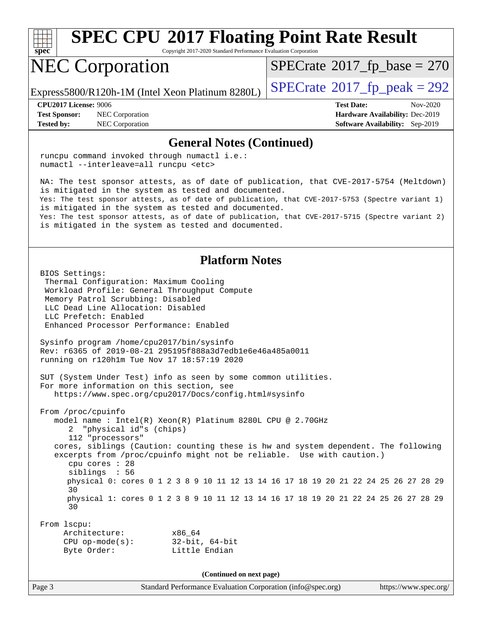

Copyright 2017-2020 Standard Performance Evaluation Corporation

# NEC Corporation

Express5800/R120h-1M (Intel Xeon Platinum 8280L)  $\vert$  [SPECrate](http://www.spec.org/auto/cpu2017/Docs/result-fields.html#SPECrate2017fppeak)®[2017\\_fp\\_peak = 2](http://www.spec.org/auto/cpu2017/Docs/result-fields.html#SPECrate2017fppeak)92

 $SPECTate$ <sup>®</sup>[2017\\_fp\\_base =](http://www.spec.org/auto/cpu2017/Docs/result-fields.html#SPECrate2017fpbase) 270

**[Test Sponsor:](http://www.spec.org/auto/cpu2017/Docs/result-fields.html#TestSponsor)** NEC Corporation **[Hardware Availability:](http://www.spec.org/auto/cpu2017/Docs/result-fields.html#HardwareAvailability)** Dec-2019 **[Tested by:](http://www.spec.org/auto/cpu2017/Docs/result-fields.html#Testedby)** NEC Corporation **[Software Availability:](http://www.spec.org/auto/cpu2017/Docs/result-fields.html#SoftwareAvailability)** Sep-2019

**[CPU2017 License:](http://www.spec.org/auto/cpu2017/Docs/result-fields.html#CPU2017License)** 9006 **[Test Date:](http://www.spec.org/auto/cpu2017/Docs/result-fields.html#TestDate)** Nov-2020

**[General Notes \(Continued\)](http://www.spec.org/auto/cpu2017/Docs/result-fields.html#GeneralNotes)** runcpu command invoked through numactl i.e.: numactl --interleave=all runcpu <etc> NA: The test sponsor attests, as of date of publication, that CVE-2017-5754 (Meltdown) is mitigated in the system as tested and documented. Yes: The test sponsor attests, as of date of publication, that CVE-2017-5753 (Spectre variant 1) is mitigated in the system as tested and documented. Yes: The test sponsor attests, as of date of publication, that CVE-2017-5715 (Spectre variant 2) is mitigated in the system as tested and documented. **[Platform Notes](http://www.spec.org/auto/cpu2017/Docs/result-fields.html#PlatformNotes)** BIOS Settings: Thermal Configuration: Maximum Cooling Workload Profile: General Throughput Compute Memory Patrol Scrubbing: Disabled LLC Dead Line Allocation: Disabled LLC Prefetch: Enabled Enhanced Processor Performance: Enabled Sysinfo program /home/cpu2017/bin/sysinfo Rev: r6365 of 2019-08-21 295195f888a3d7edb1e6e46a485a0011 running on r120h1m Tue Nov 17 18:57:19 2020 SUT (System Under Test) info as seen by some common utilities. For more information on this section, see <https://www.spec.org/cpu2017/Docs/config.html#sysinfo> From /proc/cpuinfo model name : Intel(R) Xeon(R) Platinum 8280L CPU @ 2.70GHz 2 "physical id"s (chips) 112 "processors" cores, siblings (Caution: counting these is hw and system dependent. The following excerpts from /proc/cpuinfo might not be reliable. Use with caution.) cpu cores : 28 siblings : 56 physical 0: cores 0 1 2 3 8 9 10 11 12 13 14 16 17 18 19 20 21 22 24 25 26 27 28 29 30 physical 1: cores 0 1 2 3 8 9 10 11 12 13 14 16 17 18 19 20 21 22 24 25 26 27 28 29 30 From lscpu: Architecture: x86\_64 CPU op-mode(s): 32-bit, 64-bit Byte Order: Little Endian **(Continued on next page)**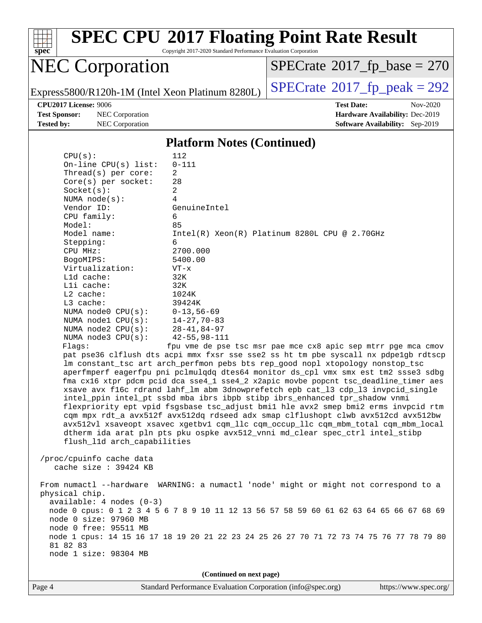

Copyright 2017-2020 Standard Performance Evaluation Corporation

# NEC Corporation

 $SPECrate$ <sup>®</sup>[2017\\_fp\\_base =](http://www.spec.org/auto/cpu2017/Docs/result-fields.html#SPECrate2017fpbase) 270

Express5800/R120h-1M (Intel Xeon Platinum 8280L)  $\left|$  [SPECrate](http://www.spec.org/auto/cpu2017/Docs/result-fields.html#SPECrate2017fppeak)®[2017\\_fp\\_peak = 2](http://www.spec.org/auto/cpu2017/Docs/result-fields.html#SPECrate2017fppeak)92

**[Test Sponsor:](http://www.spec.org/auto/cpu2017/Docs/result-fields.html#TestSponsor)** NEC Corporation **[Hardware Availability:](http://www.spec.org/auto/cpu2017/Docs/result-fields.html#HardwareAvailability)** Dec-2019 **[Tested by:](http://www.spec.org/auto/cpu2017/Docs/result-fields.html#Testedby)** NEC Corporation **[Software Availability:](http://www.spec.org/auto/cpu2017/Docs/result-fields.html#SoftwareAvailability)** Sep-2019

**[CPU2017 License:](http://www.spec.org/auto/cpu2017/Docs/result-fields.html#CPU2017License)** 9006 **[Test Date:](http://www.spec.org/auto/cpu2017/Docs/result-fields.html#TestDate)** Nov-2020

#### **[Platform Notes \(Continued\)](http://www.spec.org/auto/cpu2017/Docs/result-fields.html#PlatformNotes)**

| (Continued on next page)                                                                                                                                                                                                                                                   |                                                                                                                                                                                                                                                                                                                                                                                                                                                                                                                                                                                                                                                                                                                                                                                                                                                                                                                                                                                                                                                                                                                                                           |  |  |  |  |
|----------------------------------------------------------------------------------------------------------------------------------------------------------------------------------------------------------------------------------------------------------------------------|-----------------------------------------------------------------------------------------------------------------------------------------------------------------------------------------------------------------------------------------------------------------------------------------------------------------------------------------------------------------------------------------------------------------------------------------------------------------------------------------------------------------------------------------------------------------------------------------------------------------------------------------------------------------------------------------------------------------------------------------------------------------------------------------------------------------------------------------------------------------------------------------------------------------------------------------------------------------------------------------------------------------------------------------------------------------------------------------------------------------------------------------------------------|--|--|--|--|
| physical chip.<br>$available: 4 nodes (0-3)$<br>node 0 size: 97960 MB<br>node 0 free: 95511 MB<br>81 82 83<br>node 1 size: 98304 MB                                                                                                                                        | node 0 cpus: 0 1 2 3 4 5 6 7 8 9 10 11 12 13 56 57 58 59 60 61 62 63 64 65 66 67 68 69<br>node 1 cpus: 14 15 16 17 18 19 20 21 22 23 24 25 26 27 70 71 72 73 74 75 76 77 78 79 80                                                                                                                                                                                                                                                                                                                                                                                                                                                                                                                                                                                                                                                                                                                                                                                                                                                                                                                                                                         |  |  |  |  |
| cache size : 39424 KB                                                                                                                                                                                                                                                      | From numactl --hardware WARNING: a numactl 'node' might or might not correspond to a                                                                                                                                                                                                                                                                                                                                                                                                                                                                                                                                                                                                                                                                                                                                                                                                                                                                                                                                                                                                                                                                      |  |  |  |  |
| /proc/cpuinfo cache data                                                                                                                                                                                                                                                   |                                                                                                                                                                                                                                                                                                                                                                                                                                                                                                                                                                                                                                                                                                                                                                                                                                                                                                                                                                                                                                                                                                                                                           |  |  |  |  |
| Model name:<br>Stepping:<br>CPU MHz:<br>BogoMIPS:<br>Virtualization:<br>L1d cache:<br>Lli cache:<br>$L2$ cache:<br>L3 cache:<br>NUMA node0 CPU(s):<br>NUMA $node1$ $CPU(s):$<br>NUMA $node2$ $CPU(s)$ :<br>NUMA $node3$ $CPU(s):$<br>Flags:<br>flush_l1d arch_capabilities | $Intel(R) Xeon(R) Platinum 8280L CPU @ 2.70GHz$<br>6<br>2700.000<br>5400.00<br>$VT - x$<br>32K<br>32K<br>1024K<br>39424K<br>$0 - 13, 56 - 69$<br>$14 - 27, 70 - 83$<br>$28 - 41, 84 - 97$<br>$42 - 55, 98 - 111$<br>fpu vme de pse tsc msr pae mce cx8 apic sep mtrr pge mca cmov<br>pat pse36 clflush dts acpi mmx fxsr sse sse2 ss ht tm pbe syscall nx pdpelgb rdtscp<br>lm constant_tsc art arch_perfmon pebs bts rep_good nopl xtopology nonstop_tsc<br>aperfmperf eagerfpu pni pclmulqdq dtes64 monitor ds_cpl vmx smx est tm2 ssse3 sdbg<br>fma cx16 xtpr pdcm pcid dca sse4_1 sse4_2 x2apic movbe popcnt tsc_deadline_timer aes<br>xsave avx f16c rdrand lahf_lm abm 3dnowprefetch epb cat_13 cdp_13 invpcid_single<br>intel_ppin intel_pt ssbd mba ibrs ibpb stibp ibrs_enhanced tpr_shadow vnmi<br>flexpriority ept vpid fsgsbase tsc_adjust bmil hle avx2 smep bmi2 erms invpcid rtm<br>cqm mpx rdt_a avx512f avx512dq rdseed adx smap clflushopt clwb avx512cd avx512bw<br>avx512vl xsaveopt xsavec xgetbvl cqm_llc cqm_occup_llc cqm_mbm_total cqm_mbm_local<br>dtherm ida arat pln pts pku ospke avx512_vnni md_clear spec_ctrl intel_stibp |  |  |  |  |
| Vendor ID:<br>CPU family:<br>Model:                                                                                                                                                                                                                                        | GenuineIntel<br>6<br>85                                                                                                                                                                                                                                                                                                                                                                                                                                                                                                                                                                                                                                                                                                                                                                                                                                                                                                                                                                                                                                                                                                                                   |  |  |  |  |
| Core(s) per socket:<br>Socket(s):<br>NUMA $node(s):$                                                                                                                                                                                                                       | 28<br>2<br>4                                                                                                                                                                                                                                                                                                                                                                                                                                                                                                                                                                                                                                                                                                                                                                                                                                                                                                                                                                                                                                                                                                                                              |  |  |  |  |
| CPU(s):<br>On-line $CPU(s)$ list:<br>Thread( $s$ ) per core:                                                                                                                                                                                                               | 112<br>$0 - 111$<br>2                                                                                                                                                                                                                                                                                                                                                                                                                                                                                                                                                                                                                                                                                                                                                                                                                                                                                                                                                                                                                                                                                                                                     |  |  |  |  |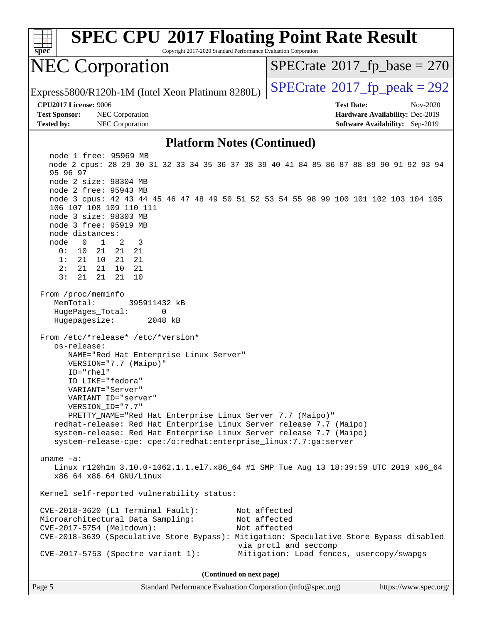| <b>SPEC CPU®2017 Floating Point Rate Result</b><br>Spec<br>Copyright 2017-2020 Standard Performance Evaluation Corporation                                                                                                                                                                                                                                                                                                                                                                                                                                                                                                                                                                                                                                                                                                                                                                                                                                                                                                                                                                                                                                                                                                                                                                    |                                                                       |  |  |  |  |  |
|-----------------------------------------------------------------------------------------------------------------------------------------------------------------------------------------------------------------------------------------------------------------------------------------------------------------------------------------------------------------------------------------------------------------------------------------------------------------------------------------------------------------------------------------------------------------------------------------------------------------------------------------------------------------------------------------------------------------------------------------------------------------------------------------------------------------------------------------------------------------------------------------------------------------------------------------------------------------------------------------------------------------------------------------------------------------------------------------------------------------------------------------------------------------------------------------------------------------------------------------------------------------------------------------------|-----------------------------------------------------------------------|--|--|--|--|--|
| <b>NEC Corporation</b>                                                                                                                                                                                                                                                                                                                                                                                                                                                                                                                                                                                                                                                                                                                                                                                                                                                                                                                                                                                                                                                                                                                                                                                                                                                                        | $SPECrate^{\circ}2017$ _fp_base = 270                                 |  |  |  |  |  |
| Express5800/R120h-1M (Intel Xeon Platinum 8280L)                                                                                                                                                                                                                                                                                                                                                                                                                                                                                                                                                                                                                                                                                                                                                                                                                                                                                                                                                                                                                                                                                                                                                                                                                                              | $SPECTate^{\circ}2017$ _fp_peak = 292                                 |  |  |  |  |  |
| <b>CPU2017 License: 9006</b>                                                                                                                                                                                                                                                                                                                                                                                                                                                                                                                                                                                                                                                                                                                                                                                                                                                                                                                                                                                                                                                                                                                                                                                                                                                                  | <b>Test Date:</b><br>Nov-2020                                         |  |  |  |  |  |
| <b>Test Sponsor:</b><br>NEC Corporation<br><b>Tested by:</b><br>NEC Corporation                                                                                                                                                                                                                                                                                                                                                                                                                                                                                                                                                                                                                                                                                                                                                                                                                                                                                                                                                                                                                                                                                                                                                                                                               | Hardware Availability: Dec-2019<br>Software Availability: Sep-2019    |  |  |  |  |  |
|                                                                                                                                                                                                                                                                                                                                                                                                                                                                                                                                                                                                                                                                                                                                                                                                                                                                                                                                                                                                                                                                                                                                                                                                                                                                                               |                                                                       |  |  |  |  |  |
| <b>Platform Notes (Continued)</b><br>node 1 free: 95969 MB<br>node 2 cpus: 28 29 30 31 32 33 34 35 36 37 38 39 40 41 84 85 86 87 88 89 90 91 92 93 94<br>95 96 97<br>node 2 size: 98304 MB<br>node 2 free: 95943 MB<br>node 3 cpus: 42 43 44 45 46 47 48 49 50 51 52 53 54 55 98 99 100 101 102 103 104 105<br>106 107 108 109 110 111<br>node 3 size: 98303 MB<br>node 3 free: 95919 MB<br>node distances:<br>node<br>$\mathbf{1}$<br>2<br>0<br>3<br>0:<br>10<br>21<br>21<br>21<br>21 21<br>1:<br>21<br>10<br>2:<br>21<br>21<br>10<br>21<br>3:<br>21<br>21<br>21<br>10<br>From /proc/meminfo<br>MemTotal:<br>395911432 kB<br>HugePages_Total:<br>0<br>Hugepagesize:<br>2048 kB<br>From /etc/*release* /etc/*version*<br>os-release:<br>NAME="Red Hat Enterprise Linux Server"<br>VERSION="7.7 (Maipo)"<br>ID="rhel"<br>ID_LIKE="fedora"<br>VARIANT="Server"<br>VARIANT_ID="server"<br>VERSION_ID="7.7"<br>PRETTY_NAME="Red Hat Enterprise Linux Server 7.7 (Maipo)"<br>redhat-release: Red Hat Enterprise Linux Server release 7.7 (Maipo)<br>system-release: Red Hat Enterprise Linux Server release 7.7 (Maipo)<br>system-release-cpe: cpe:/o:redhat:enterprise_linux:7.7:ga:server<br>uname $-a$ :<br>Linux r120h1m 3.10.0-1062.1.1.el7.x86_64 #1 SMP Tue Aug 13 18:39:59 UTC 2019 x86_64 |                                                                       |  |  |  |  |  |
| Kernel self-reported vulnerability status:                                                                                                                                                                                                                                                                                                                                                                                                                                                                                                                                                                                                                                                                                                                                                                                                                                                                                                                                                                                                                                                                                                                                                                                                                                                    |                                                                       |  |  |  |  |  |
| CVE-2018-3620 (L1 Terminal Fault):<br>Microarchitectural Data Sampling:<br>CVE-2017-5754 (Meltdown):<br>CVE-2018-3639 (Speculative Store Bypass): Mitigation: Speculative Store Bypass disabled                                                                                                                                                                                                                                                                                                                                                                                                                                                                                                                                                                                                                                                                                                                                                                                                                                                                                                                                                                                                                                                                                               | Not affected<br>Not affected<br>Not affected<br>via prctl and seccomp |  |  |  |  |  |
| CVE-2017-5753 (Spectre variant 1):                                                                                                                                                                                                                                                                                                                                                                                                                                                                                                                                                                                                                                                                                                                                                                                                                                                                                                                                                                                                                                                                                                                                                                                                                                                            | Mitigation: Load fences, usercopy/swapgs                              |  |  |  |  |  |
| (Continued on next page)                                                                                                                                                                                                                                                                                                                                                                                                                                                                                                                                                                                                                                                                                                                                                                                                                                                                                                                                                                                                                                                                                                                                                                                                                                                                      |                                                                       |  |  |  |  |  |

Page 5 Standard Performance Evaluation Corporation [\(info@spec.org\)](mailto:info@spec.org) <https://www.spec.org/>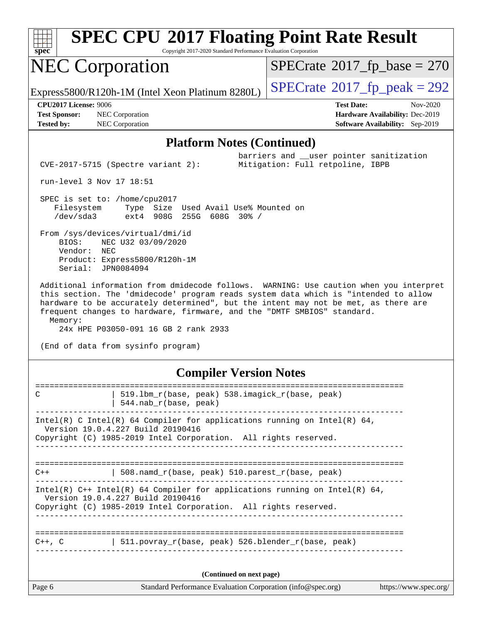

Copyright 2017-2020 Standard Performance Evaluation Corporation

# NEC Corporation

 $SPECTate$ <sup>®</sup>[2017\\_fp\\_base =](http://www.spec.org/auto/cpu2017/Docs/result-fields.html#SPECrate2017fpbase) 270

Express5800/R120h-1M (Intel Xeon Platinum 8280L)  $\vert$  [SPECrate](http://www.spec.org/auto/cpu2017/Docs/result-fields.html#SPECrate2017fppeak)®[2017\\_fp\\_peak = 2](http://www.spec.org/auto/cpu2017/Docs/result-fields.html#SPECrate2017fppeak)92

barriers and \_\_user pointer sanitization

**[Tested by:](http://www.spec.org/auto/cpu2017/Docs/result-fields.html#Testedby)** NEC Corporation **[Software Availability:](http://www.spec.org/auto/cpu2017/Docs/result-fields.html#SoftwareAvailability)** Sep-2019

**[CPU2017 License:](http://www.spec.org/auto/cpu2017/Docs/result-fields.html#CPU2017License)** 9006 **[Test Date:](http://www.spec.org/auto/cpu2017/Docs/result-fields.html#TestDate)** Nov-2020 **[Test Sponsor:](http://www.spec.org/auto/cpu2017/Docs/result-fields.html#TestSponsor)** NEC Corporation **[Hardware Availability:](http://www.spec.org/auto/cpu2017/Docs/result-fields.html#HardwareAvailability)** Dec-2019

#### **[Platform Notes \(Continued\)](http://www.spec.org/auto/cpu2017/Docs/result-fields.html#PlatformNotes)**

CVE-2017-5715 (Spectre variant 2): Mitigation: Full retpoline, IBPB

run-level 3 Nov 17 18:51

 SPEC is set to: /home/cpu2017 Filesystem Type Size Used Avail Use% Mounted on /dev/sda3 ext4 908G 255G 608G 30% /

 From /sys/devices/virtual/dmi/id BIOS: NEC U32 03/09/2020 Vendor: NEC Product: Express5800/R120h-1M Serial: JPN0084094

 Additional information from dmidecode follows. WARNING: Use caution when you interpret this section. The 'dmidecode' program reads system data which is "intended to allow hardware to be accurately determined", but the intent may not be met, as there are frequent changes to hardware, firmware, and the "DMTF SMBIOS" standard. Memory:

24x HPE P03050-091 16 GB 2 rank 2933

(End of data from sysinfo program)

#### **[Compiler Version Notes](http://www.spec.org/auto/cpu2017/Docs/result-fields.html#CompilerVersionNotes)**

| Page 6      | Standard Performance Evaluation Corporation (info@spec.org)                                                                                                                          | https://www.spec.org/ |
|-------------|--------------------------------------------------------------------------------------------------------------------------------------------------------------------------------------|-----------------------|
|             | (Continued on next page)                                                                                                                                                             |                       |
| $C++$ , $C$ | 511. povray r(base, peak) 526. blender r(base, peak)<br>_____________________________                                                                                                |                       |
|             | Intel(R) $C++$ Intel(R) 64 Compiler for applications running on Intel(R) 64,<br>Version 19.0.4.227 Build 20190416<br>Copyright (C) 1985-2019 Intel Corporation. All rights reserved. |                       |
| $C++$       | 508.namd_r(base, peak) 510.parest_r(base, peak)                                                                                                                                      |                       |
|             | Intel(R) C Intel(R) 64 Compiler for applications running on Intel(R) 64,<br>Version 19.0.4.227 Build 20190416<br>Copyright (C) 1985-2019 Intel Corporation. All rights reserved.     |                       |
| C           | 519.1bm_r(base, peak) 538.imagick_r(base, peak)<br>$544$ .nab $r$ (base, peak)                                                                                                       |                       |
|             |                                                                                                                                                                                      |                       |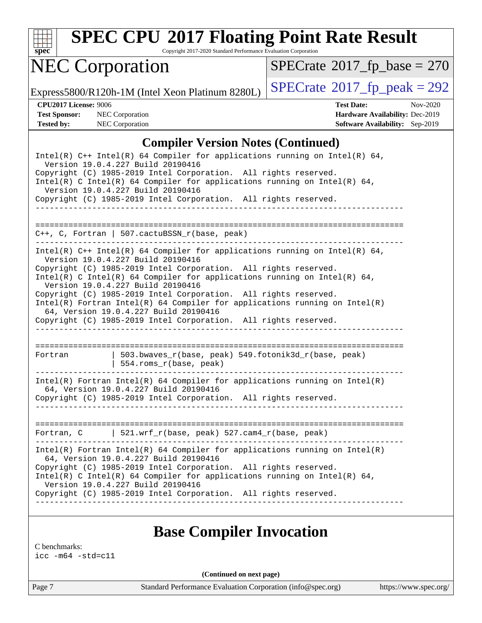

Copyright 2017-2020 Standard Performance Evaluation Corporation

# NEC Corporation

 $SPECTate$ <sup>®</sup>[2017\\_fp\\_base =](http://www.spec.org/auto/cpu2017/Docs/result-fields.html#SPECrate2017fpbase) 270

Express5800/R120h-1M (Intel Xeon Platinum 8280L)  $\left|$  [SPECrate](http://www.spec.org/auto/cpu2017/Docs/result-fields.html#SPECrate2017fppeak)®[2017\\_fp\\_peak = 2](http://www.spec.org/auto/cpu2017/Docs/result-fields.html#SPECrate2017fppeak)92

**[Test Sponsor:](http://www.spec.org/auto/cpu2017/Docs/result-fields.html#TestSponsor)** NEC Corporation **[Hardware Availability:](http://www.spec.org/auto/cpu2017/Docs/result-fields.html#HardwareAvailability)** Dec-2019 **[Tested by:](http://www.spec.org/auto/cpu2017/Docs/result-fields.html#Testedby)** NEC Corporation **[Software Availability:](http://www.spec.org/auto/cpu2017/Docs/result-fields.html#SoftwareAvailability)** Sep-2019

**[CPU2017 License:](http://www.spec.org/auto/cpu2017/Docs/result-fields.html#CPU2017License)** 9006 **[Test Date:](http://www.spec.org/auto/cpu2017/Docs/result-fields.html#TestDate)** Nov-2020

### **[Compiler Version Notes \(Continued\)](http://www.spec.org/auto/cpu2017/Docs/result-fields.html#CompilerVersionNotes)**

Intel(R) C++ Intel(R) 64 Compiler for applications running on Intel(R)  $64$ , Version 19.0.4.227 Build 20190416 Copyright (C) 1985-2019 Intel Corporation. All rights reserved. Intel(R) C Intel(R) 64 Compiler for applications running on Intel(R) 64, Version 19.0.4.227 Build 20190416 Copyright (C) 1985-2019 Intel Corporation. All rights reserved. ------------------------------------------------------------------------------ ============================================================================== C++, C, Fortran | 507.cactuBSSN\_r(base, peak) ------------------------------------------------------------------------------ Intel(R) C++ Intel(R) 64 Compiler for applications running on Intel(R) 64, Version 19.0.4.227 Build 20190416 Copyright (C) 1985-2019 Intel Corporation. All rights reserved. Intel(R) C Intel(R) 64 Compiler for applications running on Intel(R)  $64$ , Version 19.0.4.227 Build 20190416 Copyright (C) 1985-2019 Intel Corporation. All rights reserved. Intel(R) Fortran Intel(R) 64 Compiler for applications running on Intel(R) 64, Version 19.0.4.227 Build 20190416 Copyright (C) 1985-2019 Intel Corporation. All rights reserved. ------------------------------------------------------------------------------ ============================================================================== Fortran | 503.bwaves\_r(base, peak) 549.fotonik3d\_r(base, peak) | 554.roms\_r(base, peak) ------------------------------------------------------------------------------ Intel(R) Fortran Intel(R) 64 Compiler for applications running on Intel(R) 64, Version 19.0.4.227 Build 20190416 Copyright (C) 1985-2019 Intel Corporation. All rights reserved. ------------------------------------------------------------------------------ ============================================================================== Fortran, C | 521.wrf\_r(base, peak) 527.cam4\_r(base, peak) ------------------------------------------------------------------------------ Intel(R) Fortran Intel(R) 64 Compiler for applications running on Intel(R) 64, Version 19.0.4.227 Build 20190416 Copyright (C) 1985-2019 Intel Corporation. All rights reserved. Intel(R) C Intel(R) 64 Compiler for applications running on Intel(R) 64, Version 19.0.4.227 Build 20190416 Copyright (C) 1985-2019 Intel Corporation. All rights reserved. ------------------------------------------------------------------------------

### **[Base Compiler Invocation](http://www.spec.org/auto/cpu2017/Docs/result-fields.html#BaseCompilerInvocation)**

[C benchmarks:](http://www.spec.org/auto/cpu2017/Docs/result-fields.html#Cbenchmarks) [icc -m64 -std=c11](http://www.spec.org/cpu2017/results/res2020q4/cpu2017-20201123-24437.flags.html#user_CCbase_intel_icc_64bit_c11_33ee0cdaae7deeeab2a9725423ba97205ce30f63b9926c2519791662299b76a0318f32ddfffdc46587804de3178b4f9328c46fa7c2b0cd779d7a61945c91cd35)

**(Continued on next page)**

Page 7 Standard Performance Evaluation Corporation [\(info@spec.org\)](mailto:info@spec.org) <https://www.spec.org/>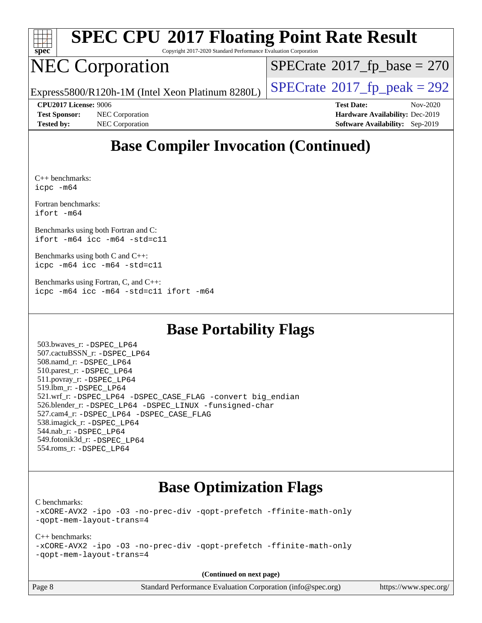

Copyright 2017-2020 Standard Performance Evaluation Corporation

# NEC Corporation

 $SPECTate$ <sup>®</sup>[2017\\_fp\\_base =](http://www.spec.org/auto/cpu2017/Docs/result-fields.html#SPECrate2017fpbase) 270

Express5800/R120h-1M (Intel Xeon Platinum 8280L)  $\vert$  [SPECrate](http://www.spec.org/auto/cpu2017/Docs/result-fields.html#SPECrate2017fppeak)®[2017\\_fp\\_peak = 2](http://www.spec.org/auto/cpu2017/Docs/result-fields.html#SPECrate2017fppeak)92

**[Test Sponsor:](http://www.spec.org/auto/cpu2017/Docs/result-fields.html#TestSponsor)** NEC Corporation **[Hardware Availability:](http://www.spec.org/auto/cpu2017/Docs/result-fields.html#HardwareAvailability)** Dec-2019 **[Tested by:](http://www.spec.org/auto/cpu2017/Docs/result-fields.html#Testedby)** NEC Corporation **[Software Availability:](http://www.spec.org/auto/cpu2017/Docs/result-fields.html#SoftwareAvailability)** Sep-2019

**[CPU2017 License:](http://www.spec.org/auto/cpu2017/Docs/result-fields.html#CPU2017License)** 9006 **[Test Date:](http://www.spec.org/auto/cpu2017/Docs/result-fields.html#TestDate)** Nov-2020

### **[Base Compiler Invocation \(Continued\)](http://www.spec.org/auto/cpu2017/Docs/result-fields.html#BaseCompilerInvocation)**

[C++ benchmarks](http://www.spec.org/auto/cpu2017/Docs/result-fields.html#CXXbenchmarks): [icpc -m64](http://www.spec.org/cpu2017/results/res2020q4/cpu2017-20201123-24437.flags.html#user_CXXbase_intel_icpc_64bit_4ecb2543ae3f1412ef961e0650ca070fec7b7afdcd6ed48761b84423119d1bf6bdf5cad15b44d48e7256388bc77273b966e5eb805aefd121eb22e9299b2ec9d9)

[Fortran benchmarks](http://www.spec.org/auto/cpu2017/Docs/result-fields.html#Fortranbenchmarks): [ifort -m64](http://www.spec.org/cpu2017/results/res2020q4/cpu2017-20201123-24437.flags.html#user_FCbase_intel_ifort_64bit_24f2bb282fbaeffd6157abe4f878425411749daecae9a33200eee2bee2fe76f3b89351d69a8130dd5949958ce389cf37ff59a95e7a40d588e8d3a57e0c3fd751)

[Benchmarks using both Fortran and C:](http://www.spec.org/auto/cpu2017/Docs/result-fields.html#BenchmarksusingbothFortranandC) [ifort -m64](http://www.spec.org/cpu2017/results/res2020q4/cpu2017-20201123-24437.flags.html#user_CC_FCbase_intel_ifort_64bit_24f2bb282fbaeffd6157abe4f878425411749daecae9a33200eee2bee2fe76f3b89351d69a8130dd5949958ce389cf37ff59a95e7a40d588e8d3a57e0c3fd751) [icc -m64 -std=c11](http://www.spec.org/cpu2017/results/res2020q4/cpu2017-20201123-24437.flags.html#user_CC_FCbase_intel_icc_64bit_c11_33ee0cdaae7deeeab2a9725423ba97205ce30f63b9926c2519791662299b76a0318f32ddfffdc46587804de3178b4f9328c46fa7c2b0cd779d7a61945c91cd35)

[Benchmarks using both C and C++](http://www.spec.org/auto/cpu2017/Docs/result-fields.html#BenchmarksusingbothCandCXX): [icpc -m64](http://www.spec.org/cpu2017/results/res2020q4/cpu2017-20201123-24437.flags.html#user_CC_CXXbase_intel_icpc_64bit_4ecb2543ae3f1412ef961e0650ca070fec7b7afdcd6ed48761b84423119d1bf6bdf5cad15b44d48e7256388bc77273b966e5eb805aefd121eb22e9299b2ec9d9) [icc -m64 -std=c11](http://www.spec.org/cpu2017/results/res2020q4/cpu2017-20201123-24437.flags.html#user_CC_CXXbase_intel_icc_64bit_c11_33ee0cdaae7deeeab2a9725423ba97205ce30f63b9926c2519791662299b76a0318f32ddfffdc46587804de3178b4f9328c46fa7c2b0cd779d7a61945c91cd35)

[Benchmarks using Fortran, C, and C++:](http://www.spec.org/auto/cpu2017/Docs/result-fields.html#BenchmarksusingFortranCandCXX) [icpc -m64](http://www.spec.org/cpu2017/results/res2020q4/cpu2017-20201123-24437.flags.html#user_CC_CXX_FCbase_intel_icpc_64bit_4ecb2543ae3f1412ef961e0650ca070fec7b7afdcd6ed48761b84423119d1bf6bdf5cad15b44d48e7256388bc77273b966e5eb805aefd121eb22e9299b2ec9d9) [icc -m64 -std=c11](http://www.spec.org/cpu2017/results/res2020q4/cpu2017-20201123-24437.flags.html#user_CC_CXX_FCbase_intel_icc_64bit_c11_33ee0cdaae7deeeab2a9725423ba97205ce30f63b9926c2519791662299b76a0318f32ddfffdc46587804de3178b4f9328c46fa7c2b0cd779d7a61945c91cd35) [ifort -m64](http://www.spec.org/cpu2017/results/res2020q4/cpu2017-20201123-24437.flags.html#user_CC_CXX_FCbase_intel_ifort_64bit_24f2bb282fbaeffd6157abe4f878425411749daecae9a33200eee2bee2fe76f3b89351d69a8130dd5949958ce389cf37ff59a95e7a40d588e8d3a57e0c3fd751)

### **[Base Portability Flags](http://www.spec.org/auto/cpu2017/Docs/result-fields.html#BasePortabilityFlags)**

 503.bwaves\_r: [-DSPEC\\_LP64](http://www.spec.org/cpu2017/results/res2020q4/cpu2017-20201123-24437.flags.html#suite_basePORTABILITY503_bwaves_r_DSPEC_LP64) 507.cactuBSSN\_r: [-DSPEC\\_LP64](http://www.spec.org/cpu2017/results/res2020q4/cpu2017-20201123-24437.flags.html#suite_basePORTABILITY507_cactuBSSN_r_DSPEC_LP64) 508.namd\_r: [-DSPEC\\_LP64](http://www.spec.org/cpu2017/results/res2020q4/cpu2017-20201123-24437.flags.html#suite_basePORTABILITY508_namd_r_DSPEC_LP64) 510.parest\_r: [-DSPEC\\_LP64](http://www.spec.org/cpu2017/results/res2020q4/cpu2017-20201123-24437.flags.html#suite_basePORTABILITY510_parest_r_DSPEC_LP64) 511.povray\_r: [-DSPEC\\_LP64](http://www.spec.org/cpu2017/results/res2020q4/cpu2017-20201123-24437.flags.html#suite_basePORTABILITY511_povray_r_DSPEC_LP64) 519.lbm\_r: [-DSPEC\\_LP64](http://www.spec.org/cpu2017/results/res2020q4/cpu2017-20201123-24437.flags.html#suite_basePORTABILITY519_lbm_r_DSPEC_LP64) 521.wrf\_r: [-DSPEC\\_LP64](http://www.spec.org/cpu2017/results/res2020q4/cpu2017-20201123-24437.flags.html#suite_basePORTABILITY521_wrf_r_DSPEC_LP64) [-DSPEC\\_CASE\\_FLAG](http://www.spec.org/cpu2017/results/res2020q4/cpu2017-20201123-24437.flags.html#b521.wrf_r_baseCPORTABILITY_DSPEC_CASE_FLAG) [-convert big\\_endian](http://www.spec.org/cpu2017/results/res2020q4/cpu2017-20201123-24437.flags.html#user_baseFPORTABILITY521_wrf_r_convert_big_endian_c3194028bc08c63ac5d04de18c48ce6d347e4e562e8892b8bdbdc0214820426deb8554edfa529a3fb25a586e65a3d812c835984020483e7e73212c4d31a38223) 526.blender\_r: [-DSPEC\\_LP64](http://www.spec.org/cpu2017/results/res2020q4/cpu2017-20201123-24437.flags.html#suite_basePORTABILITY526_blender_r_DSPEC_LP64) [-DSPEC\\_LINUX](http://www.spec.org/cpu2017/results/res2020q4/cpu2017-20201123-24437.flags.html#b526.blender_r_baseCPORTABILITY_DSPEC_LINUX) [-funsigned-char](http://www.spec.org/cpu2017/results/res2020q4/cpu2017-20201123-24437.flags.html#user_baseCPORTABILITY526_blender_r_force_uchar_40c60f00ab013830e2dd6774aeded3ff59883ba5a1fc5fc14077f794d777847726e2a5858cbc7672e36e1b067e7e5c1d9a74f7176df07886a243d7cc18edfe67) 527.cam4\_r: [-DSPEC\\_LP64](http://www.spec.org/cpu2017/results/res2020q4/cpu2017-20201123-24437.flags.html#suite_basePORTABILITY527_cam4_r_DSPEC_LP64) [-DSPEC\\_CASE\\_FLAG](http://www.spec.org/cpu2017/results/res2020q4/cpu2017-20201123-24437.flags.html#b527.cam4_r_baseCPORTABILITY_DSPEC_CASE_FLAG) 538.imagick\_r: [-DSPEC\\_LP64](http://www.spec.org/cpu2017/results/res2020q4/cpu2017-20201123-24437.flags.html#suite_basePORTABILITY538_imagick_r_DSPEC_LP64) 544.nab\_r: [-DSPEC\\_LP64](http://www.spec.org/cpu2017/results/res2020q4/cpu2017-20201123-24437.flags.html#suite_basePORTABILITY544_nab_r_DSPEC_LP64) 549.fotonik3d\_r: [-DSPEC\\_LP64](http://www.spec.org/cpu2017/results/res2020q4/cpu2017-20201123-24437.flags.html#suite_basePORTABILITY549_fotonik3d_r_DSPEC_LP64) 554.roms\_r: [-DSPEC\\_LP64](http://www.spec.org/cpu2017/results/res2020q4/cpu2017-20201123-24437.flags.html#suite_basePORTABILITY554_roms_r_DSPEC_LP64)

### **[Base Optimization Flags](http://www.spec.org/auto/cpu2017/Docs/result-fields.html#BaseOptimizationFlags)**

[C benchmarks](http://www.spec.org/auto/cpu2017/Docs/result-fields.html#Cbenchmarks):

[-xCORE-AVX2](http://www.spec.org/cpu2017/results/res2020q4/cpu2017-20201123-24437.flags.html#user_CCbase_f-xCORE-AVX2) [-ipo](http://www.spec.org/cpu2017/results/res2020q4/cpu2017-20201123-24437.flags.html#user_CCbase_f-ipo) [-O3](http://www.spec.org/cpu2017/results/res2020q4/cpu2017-20201123-24437.flags.html#user_CCbase_f-O3) [-no-prec-div](http://www.spec.org/cpu2017/results/res2020q4/cpu2017-20201123-24437.flags.html#user_CCbase_f-no-prec-div) [-qopt-prefetch](http://www.spec.org/cpu2017/results/res2020q4/cpu2017-20201123-24437.flags.html#user_CCbase_f-qopt-prefetch) [-ffinite-math-only](http://www.spec.org/cpu2017/results/res2020q4/cpu2017-20201123-24437.flags.html#user_CCbase_f_finite_math_only_cb91587bd2077682c4b38af759c288ed7c732db004271a9512da14a4f8007909a5f1427ecbf1a0fb78ff2a814402c6114ac565ca162485bbcae155b5e4258871) [-qopt-mem-layout-trans=4](http://www.spec.org/cpu2017/results/res2020q4/cpu2017-20201123-24437.flags.html#user_CCbase_f-qopt-mem-layout-trans_fa39e755916c150a61361b7846f310bcdf6f04e385ef281cadf3647acec3f0ae266d1a1d22d972a7087a248fd4e6ca390a3634700869573d231a252c784941a8)

[C++ benchmarks:](http://www.spec.org/auto/cpu2017/Docs/result-fields.html#CXXbenchmarks)

[-xCORE-AVX2](http://www.spec.org/cpu2017/results/res2020q4/cpu2017-20201123-24437.flags.html#user_CXXbase_f-xCORE-AVX2) [-ipo](http://www.spec.org/cpu2017/results/res2020q4/cpu2017-20201123-24437.flags.html#user_CXXbase_f-ipo) [-O3](http://www.spec.org/cpu2017/results/res2020q4/cpu2017-20201123-24437.flags.html#user_CXXbase_f-O3) [-no-prec-div](http://www.spec.org/cpu2017/results/res2020q4/cpu2017-20201123-24437.flags.html#user_CXXbase_f-no-prec-div) [-qopt-prefetch](http://www.spec.org/cpu2017/results/res2020q4/cpu2017-20201123-24437.flags.html#user_CXXbase_f-qopt-prefetch) [-ffinite-math-only](http://www.spec.org/cpu2017/results/res2020q4/cpu2017-20201123-24437.flags.html#user_CXXbase_f_finite_math_only_cb91587bd2077682c4b38af759c288ed7c732db004271a9512da14a4f8007909a5f1427ecbf1a0fb78ff2a814402c6114ac565ca162485bbcae155b5e4258871) [-qopt-mem-layout-trans=4](http://www.spec.org/cpu2017/results/res2020q4/cpu2017-20201123-24437.flags.html#user_CXXbase_f-qopt-mem-layout-trans_fa39e755916c150a61361b7846f310bcdf6f04e385ef281cadf3647acec3f0ae266d1a1d22d972a7087a248fd4e6ca390a3634700869573d231a252c784941a8)

**(Continued on next page)**

Page 8 Standard Performance Evaluation Corporation [\(info@spec.org\)](mailto:info@spec.org) <https://www.spec.org/>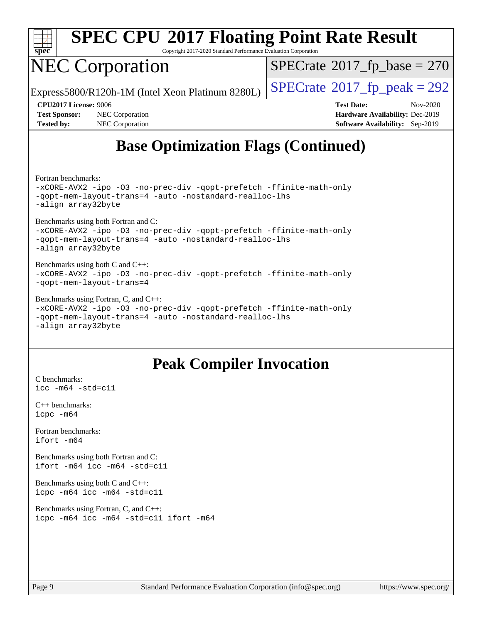

Copyright 2017-2020 Standard Performance Evaluation Corporation

# NEC Corporation

 $SPECrate$ <sup>®</sup>[2017\\_fp\\_base =](http://www.spec.org/auto/cpu2017/Docs/result-fields.html#SPECrate2017fpbase) 270

Express5800/R120h-1M (Intel Xeon Platinum 8280L)  $\vert$  [SPECrate](http://www.spec.org/auto/cpu2017/Docs/result-fields.html#SPECrate2017fppeak)®[2017\\_fp\\_peak = 2](http://www.spec.org/auto/cpu2017/Docs/result-fields.html#SPECrate2017fppeak)92

**[Test Sponsor:](http://www.spec.org/auto/cpu2017/Docs/result-fields.html#TestSponsor)** NEC Corporation **[Hardware Availability:](http://www.spec.org/auto/cpu2017/Docs/result-fields.html#HardwareAvailability)** Dec-2019 **[Tested by:](http://www.spec.org/auto/cpu2017/Docs/result-fields.html#Testedby)** NEC Corporation **[Software Availability:](http://www.spec.org/auto/cpu2017/Docs/result-fields.html#SoftwareAvailability)** Sep-2019

**[CPU2017 License:](http://www.spec.org/auto/cpu2017/Docs/result-fields.html#CPU2017License)** 9006 **[Test Date:](http://www.spec.org/auto/cpu2017/Docs/result-fields.html#TestDate)** Nov-2020

## **[Base Optimization Flags \(Continued\)](http://www.spec.org/auto/cpu2017/Docs/result-fields.html#BaseOptimizationFlags)**

[Fortran benchmarks](http://www.spec.org/auto/cpu2017/Docs/result-fields.html#Fortranbenchmarks):

[-xCORE-AVX2](http://www.spec.org/cpu2017/results/res2020q4/cpu2017-20201123-24437.flags.html#user_FCbase_f-xCORE-AVX2) [-ipo](http://www.spec.org/cpu2017/results/res2020q4/cpu2017-20201123-24437.flags.html#user_FCbase_f-ipo) [-O3](http://www.spec.org/cpu2017/results/res2020q4/cpu2017-20201123-24437.flags.html#user_FCbase_f-O3) [-no-prec-div](http://www.spec.org/cpu2017/results/res2020q4/cpu2017-20201123-24437.flags.html#user_FCbase_f-no-prec-div) [-qopt-prefetch](http://www.spec.org/cpu2017/results/res2020q4/cpu2017-20201123-24437.flags.html#user_FCbase_f-qopt-prefetch) [-ffinite-math-only](http://www.spec.org/cpu2017/results/res2020q4/cpu2017-20201123-24437.flags.html#user_FCbase_f_finite_math_only_cb91587bd2077682c4b38af759c288ed7c732db004271a9512da14a4f8007909a5f1427ecbf1a0fb78ff2a814402c6114ac565ca162485bbcae155b5e4258871) [-qopt-mem-layout-trans=4](http://www.spec.org/cpu2017/results/res2020q4/cpu2017-20201123-24437.flags.html#user_FCbase_f-qopt-mem-layout-trans_fa39e755916c150a61361b7846f310bcdf6f04e385ef281cadf3647acec3f0ae266d1a1d22d972a7087a248fd4e6ca390a3634700869573d231a252c784941a8) [-auto](http://www.spec.org/cpu2017/results/res2020q4/cpu2017-20201123-24437.flags.html#user_FCbase_f-auto) [-nostandard-realloc-lhs](http://www.spec.org/cpu2017/results/res2020q4/cpu2017-20201123-24437.flags.html#user_FCbase_f_2003_std_realloc_82b4557e90729c0f113870c07e44d33d6f5a304b4f63d4c15d2d0f1fab99f5daaed73bdb9275d9ae411527f28b936061aa8b9c8f2d63842963b95c9dd6426b8a) [-align array32byte](http://www.spec.org/cpu2017/results/res2020q4/cpu2017-20201123-24437.flags.html#user_FCbase_align_array32byte_b982fe038af199962ba9a80c053b8342c548c85b40b8e86eb3cc33dee0d7986a4af373ac2d51c3f7cf710a18d62fdce2948f201cd044323541f22fc0fffc51b6)

[Benchmarks using both Fortran and C](http://www.spec.org/auto/cpu2017/Docs/result-fields.html#BenchmarksusingbothFortranandC): [-xCORE-AVX2](http://www.spec.org/cpu2017/results/res2020q4/cpu2017-20201123-24437.flags.html#user_CC_FCbase_f-xCORE-AVX2) [-ipo](http://www.spec.org/cpu2017/results/res2020q4/cpu2017-20201123-24437.flags.html#user_CC_FCbase_f-ipo) [-O3](http://www.spec.org/cpu2017/results/res2020q4/cpu2017-20201123-24437.flags.html#user_CC_FCbase_f-O3) [-no-prec-div](http://www.spec.org/cpu2017/results/res2020q4/cpu2017-20201123-24437.flags.html#user_CC_FCbase_f-no-prec-div) [-qopt-prefetch](http://www.spec.org/cpu2017/results/res2020q4/cpu2017-20201123-24437.flags.html#user_CC_FCbase_f-qopt-prefetch) [-ffinite-math-only](http://www.spec.org/cpu2017/results/res2020q4/cpu2017-20201123-24437.flags.html#user_CC_FCbase_f_finite_math_only_cb91587bd2077682c4b38af759c288ed7c732db004271a9512da14a4f8007909a5f1427ecbf1a0fb78ff2a814402c6114ac565ca162485bbcae155b5e4258871) [-qopt-mem-layout-trans=4](http://www.spec.org/cpu2017/results/res2020q4/cpu2017-20201123-24437.flags.html#user_CC_FCbase_f-qopt-mem-layout-trans_fa39e755916c150a61361b7846f310bcdf6f04e385ef281cadf3647acec3f0ae266d1a1d22d972a7087a248fd4e6ca390a3634700869573d231a252c784941a8) [-auto](http://www.spec.org/cpu2017/results/res2020q4/cpu2017-20201123-24437.flags.html#user_CC_FCbase_f-auto) [-nostandard-realloc-lhs](http://www.spec.org/cpu2017/results/res2020q4/cpu2017-20201123-24437.flags.html#user_CC_FCbase_f_2003_std_realloc_82b4557e90729c0f113870c07e44d33d6f5a304b4f63d4c15d2d0f1fab99f5daaed73bdb9275d9ae411527f28b936061aa8b9c8f2d63842963b95c9dd6426b8a)

[-align array32byte](http://www.spec.org/cpu2017/results/res2020q4/cpu2017-20201123-24437.flags.html#user_CC_FCbase_align_array32byte_b982fe038af199962ba9a80c053b8342c548c85b40b8e86eb3cc33dee0d7986a4af373ac2d51c3f7cf710a18d62fdce2948f201cd044323541f22fc0fffc51b6)

#### [Benchmarks using both C and C++](http://www.spec.org/auto/cpu2017/Docs/result-fields.html#BenchmarksusingbothCandCXX): [-xCORE-AVX2](http://www.spec.org/cpu2017/results/res2020q4/cpu2017-20201123-24437.flags.html#user_CC_CXXbase_f-xCORE-AVX2) [-ipo](http://www.spec.org/cpu2017/results/res2020q4/cpu2017-20201123-24437.flags.html#user_CC_CXXbase_f-ipo) [-O3](http://www.spec.org/cpu2017/results/res2020q4/cpu2017-20201123-24437.flags.html#user_CC_CXXbase_f-O3) [-no-prec-div](http://www.spec.org/cpu2017/results/res2020q4/cpu2017-20201123-24437.flags.html#user_CC_CXXbase_f-no-prec-div) [-qopt-prefetch](http://www.spec.org/cpu2017/results/res2020q4/cpu2017-20201123-24437.flags.html#user_CC_CXXbase_f-qopt-prefetch) [-ffinite-math-only](http://www.spec.org/cpu2017/results/res2020q4/cpu2017-20201123-24437.flags.html#user_CC_CXXbase_f_finite_math_only_cb91587bd2077682c4b38af759c288ed7c732db004271a9512da14a4f8007909a5f1427ecbf1a0fb78ff2a814402c6114ac565ca162485bbcae155b5e4258871) [-qopt-mem-layout-trans=4](http://www.spec.org/cpu2017/results/res2020q4/cpu2017-20201123-24437.flags.html#user_CC_CXXbase_f-qopt-mem-layout-trans_fa39e755916c150a61361b7846f310bcdf6f04e385ef281cadf3647acec3f0ae266d1a1d22d972a7087a248fd4e6ca390a3634700869573d231a252c784941a8)

#### [Benchmarks using Fortran, C, and C++:](http://www.spec.org/auto/cpu2017/Docs/result-fields.html#BenchmarksusingFortranCandCXX)

[-xCORE-AVX2](http://www.spec.org/cpu2017/results/res2020q4/cpu2017-20201123-24437.flags.html#user_CC_CXX_FCbase_f-xCORE-AVX2) [-ipo](http://www.spec.org/cpu2017/results/res2020q4/cpu2017-20201123-24437.flags.html#user_CC_CXX_FCbase_f-ipo) [-O3](http://www.spec.org/cpu2017/results/res2020q4/cpu2017-20201123-24437.flags.html#user_CC_CXX_FCbase_f-O3) [-no-prec-div](http://www.spec.org/cpu2017/results/res2020q4/cpu2017-20201123-24437.flags.html#user_CC_CXX_FCbase_f-no-prec-div) [-qopt-prefetch](http://www.spec.org/cpu2017/results/res2020q4/cpu2017-20201123-24437.flags.html#user_CC_CXX_FCbase_f-qopt-prefetch) [-ffinite-math-only](http://www.spec.org/cpu2017/results/res2020q4/cpu2017-20201123-24437.flags.html#user_CC_CXX_FCbase_f_finite_math_only_cb91587bd2077682c4b38af759c288ed7c732db004271a9512da14a4f8007909a5f1427ecbf1a0fb78ff2a814402c6114ac565ca162485bbcae155b5e4258871) [-qopt-mem-layout-trans=4](http://www.spec.org/cpu2017/results/res2020q4/cpu2017-20201123-24437.flags.html#user_CC_CXX_FCbase_f-qopt-mem-layout-trans_fa39e755916c150a61361b7846f310bcdf6f04e385ef281cadf3647acec3f0ae266d1a1d22d972a7087a248fd4e6ca390a3634700869573d231a252c784941a8) [-auto](http://www.spec.org/cpu2017/results/res2020q4/cpu2017-20201123-24437.flags.html#user_CC_CXX_FCbase_f-auto) [-nostandard-realloc-lhs](http://www.spec.org/cpu2017/results/res2020q4/cpu2017-20201123-24437.flags.html#user_CC_CXX_FCbase_f_2003_std_realloc_82b4557e90729c0f113870c07e44d33d6f5a304b4f63d4c15d2d0f1fab99f5daaed73bdb9275d9ae411527f28b936061aa8b9c8f2d63842963b95c9dd6426b8a) [-align array32byte](http://www.spec.org/cpu2017/results/res2020q4/cpu2017-20201123-24437.flags.html#user_CC_CXX_FCbase_align_array32byte_b982fe038af199962ba9a80c053b8342c548c85b40b8e86eb3cc33dee0d7986a4af373ac2d51c3f7cf710a18d62fdce2948f201cd044323541f22fc0fffc51b6)

### **[Peak Compiler Invocation](http://www.spec.org/auto/cpu2017/Docs/result-fields.html#PeakCompilerInvocation)**

[C benchmarks](http://www.spec.org/auto/cpu2017/Docs/result-fields.html#Cbenchmarks): [icc -m64 -std=c11](http://www.spec.org/cpu2017/results/res2020q4/cpu2017-20201123-24437.flags.html#user_CCpeak_intel_icc_64bit_c11_33ee0cdaae7deeeab2a9725423ba97205ce30f63b9926c2519791662299b76a0318f32ddfffdc46587804de3178b4f9328c46fa7c2b0cd779d7a61945c91cd35)

[C++ benchmarks:](http://www.spec.org/auto/cpu2017/Docs/result-fields.html#CXXbenchmarks) [icpc -m64](http://www.spec.org/cpu2017/results/res2020q4/cpu2017-20201123-24437.flags.html#user_CXXpeak_intel_icpc_64bit_4ecb2543ae3f1412ef961e0650ca070fec7b7afdcd6ed48761b84423119d1bf6bdf5cad15b44d48e7256388bc77273b966e5eb805aefd121eb22e9299b2ec9d9)

[Fortran benchmarks](http://www.spec.org/auto/cpu2017/Docs/result-fields.html#Fortranbenchmarks): [ifort -m64](http://www.spec.org/cpu2017/results/res2020q4/cpu2017-20201123-24437.flags.html#user_FCpeak_intel_ifort_64bit_24f2bb282fbaeffd6157abe4f878425411749daecae9a33200eee2bee2fe76f3b89351d69a8130dd5949958ce389cf37ff59a95e7a40d588e8d3a57e0c3fd751)

[Benchmarks using both Fortran and C](http://www.spec.org/auto/cpu2017/Docs/result-fields.html#BenchmarksusingbothFortranandC): [ifort -m64](http://www.spec.org/cpu2017/results/res2020q4/cpu2017-20201123-24437.flags.html#user_CC_FCpeak_intel_ifort_64bit_24f2bb282fbaeffd6157abe4f878425411749daecae9a33200eee2bee2fe76f3b89351d69a8130dd5949958ce389cf37ff59a95e7a40d588e8d3a57e0c3fd751) [icc -m64 -std=c11](http://www.spec.org/cpu2017/results/res2020q4/cpu2017-20201123-24437.flags.html#user_CC_FCpeak_intel_icc_64bit_c11_33ee0cdaae7deeeab2a9725423ba97205ce30f63b9926c2519791662299b76a0318f32ddfffdc46587804de3178b4f9328c46fa7c2b0cd779d7a61945c91cd35)

[Benchmarks using both C and C++](http://www.spec.org/auto/cpu2017/Docs/result-fields.html#BenchmarksusingbothCandCXX): [icpc -m64](http://www.spec.org/cpu2017/results/res2020q4/cpu2017-20201123-24437.flags.html#user_CC_CXXpeak_intel_icpc_64bit_4ecb2543ae3f1412ef961e0650ca070fec7b7afdcd6ed48761b84423119d1bf6bdf5cad15b44d48e7256388bc77273b966e5eb805aefd121eb22e9299b2ec9d9) [icc -m64 -std=c11](http://www.spec.org/cpu2017/results/res2020q4/cpu2017-20201123-24437.flags.html#user_CC_CXXpeak_intel_icc_64bit_c11_33ee0cdaae7deeeab2a9725423ba97205ce30f63b9926c2519791662299b76a0318f32ddfffdc46587804de3178b4f9328c46fa7c2b0cd779d7a61945c91cd35)

[Benchmarks using Fortran, C, and C++:](http://www.spec.org/auto/cpu2017/Docs/result-fields.html#BenchmarksusingFortranCandCXX) [icpc -m64](http://www.spec.org/cpu2017/results/res2020q4/cpu2017-20201123-24437.flags.html#user_CC_CXX_FCpeak_intel_icpc_64bit_4ecb2543ae3f1412ef961e0650ca070fec7b7afdcd6ed48761b84423119d1bf6bdf5cad15b44d48e7256388bc77273b966e5eb805aefd121eb22e9299b2ec9d9) [icc -m64 -std=c11](http://www.spec.org/cpu2017/results/res2020q4/cpu2017-20201123-24437.flags.html#user_CC_CXX_FCpeak_intel_icc_64bit_c11_33ee0cdaae7deeeab2a9725423ba97205ce30f63b9926c2519791662299b76a0318f32ddfffdc46587804de3178b4f9328c46fa7c2b0cd779d7a61945c91cd35) [ifort -m64](http://www.spec.org/cpu2017/results/res2020q4/cpu2017-20201123-24437.flags.html#user_CC_CXX_FCpeak_intel_ifort_64bit_24f2bb282fbaeffd6157abe4f878425411749daecae9a33200eee2bee2fe76f3b89351d69a8130dd5949958ce389cf37ff59a95e7a40d588e8d3a57e0c3fd751)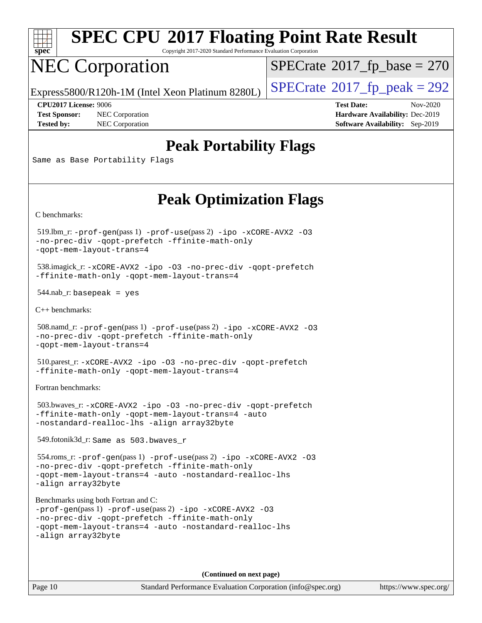

Copyright 2017-2020 Standard Performance Evaluation Corporation

# NEC Corporation

 $SPECrate$ <sup>®</sup>[2017\\_fp\\_base =](http://www.spec.org/auto/cpu2017/Docs/result-fields.html#SPECrate2017fpbase) 270

Express5800/R120h-1M (Intel Xeon Platinum 8280L)  $\vert$  [SPECrate](http://www.spec.org/auto/cpu2017/Docs/result-fields.html#SPECrate2017fppeak)®[2017\\_fp\\_peak = 2](http://www.spec.org/auto/cpu2017/Docs/result-fields.html#SPECrate2017fppeak)92

**[Test Sponsor:](http://www.spec.org/auto/cpu2017/Docs/result-fields.html#TestSponsor)** NEC Corporation **[Hardware Availability:](http://www.spec.org/auto/cpu2017/Docs/result-fields.html#HardwareAvailability)** Dec-2019 **[Tested by:](http://www.spec.org/auto/cpu2017/Docs/result-fields.html#Testedby)** NEC Corporation **[Software Availability:](http://www.spec.org/auto/cpu2017/Docs/result-fields.html#SoftwareAvailability)** Sep-2019

**[CPU2017 License:](http://www.spec.org/auto/cpu2017/Docs/result-fields.html#CPU2017License)** 9006 **[Test Date:](http://www.spec.org/auto/cpu2017/Docs/result-fields.html#TestDate)** Nov-2020

### **[Peak Portability Flags](http://www.spec.org/auto/cpu2017/Docs/result-fields.html#PeakPortabilityFlags)**

Same as Base Portability Flags

### **[Peak Optimization Flags](http://www.spec.org/auto/cpu2017/Docs/result-fields.html#PeakOptimizationFlags)**

[C benchmarks](http://www.spec.org/auto/cpu2017/Docs/result-fields.html#Cbenchmarks):

 519.lbm\_r: [-prof-gen](http://www.spec.org/cpu2017/results/res2020q4/cpu2017-20201123-24437.flags.html#user_peakPASS1_CFLAGSPASS1_LDFLAGS519_lbm_r_prof_gen_5aa4926d6013ddb2a31985c654b3eb18169fc0c6952a63635c234f711e6e63dd76e94ad52365559451ec499a2cdb89e4dc58ba4c67ef54ca681ffbe1461d6b36)(pass 1) [-prof-use](http://www.spec.org/cpu2017/results/res2020q4/cpu2017-20201123-24437.flags.html#user_peakPASS2_CFLAGSPASS2_LDFLAGS519_lbm_r_prof_use_1a21ceae95f36a2b53c25747139a6c16ca95bd9def2a207b4f0849963b97e94f5260e30a0c64f4bb623698870e679ca08317ef8150905d41bd88c6f78df73f19)(pass 2) [-ipo](http://www.spec.org/cpu2017/results/res2020q4/cpu2017-20201123-24437.flags.html#user_peakPASS1_COPTIMIZEPASS2_COPTIMIZE519_lbm_r_f-ipo) [-xCORE-AVX2](http://www.spec.org/cpu2017/results/res2020q4/cpu2017-20201123-24437.flags.html#user_peakPASS2_COPTIMIZE519_lbm_r_f-xCORE-AVX2) [-O3](http://www.spec.org/cpu2017/results/res2020q4/cpu2017-20201123-24437.flags.html#user_peakPASS1_COPTIMIZEPASS2_COPTIMIZE519_lbm_r_f-O3) [-no-prec-div](http://www.spec.org/cpu2017/results/res2020q4/cpu2017-20201123-24437.flags.html#user_peakPASS1_COPTIMIZEPASS2_COPTIMIZE519_lbm_r_f-no-prec-div) [-qopt-prefetch](http://www.spec.org/cpu2017/results/res2020q4/cpu2017-20201123-24437.flags.html#user_peakPASS1_COPTIMIZEPASS2_COPTIMIZE519_lbm_r_f-qopt-prefetch) [-ffinite-math-only](http://www.spec.org/cpu2017/results/res2020q4/cpu2017-20201123-24437.flags.html#user_peakPASS1_COPTIMIZEPASS2_COPTIMIZE519_lbm_r_f_finite_math_only_cb91587bd2077682c4b38af759c288ed7c732db004271a9512da14a4f8007909a5f1427ecbf1a0fb78ff2a814402c6114ac565ca162485bbcae155b5e4258871) [-qopt-mem-layout-trans=4](http://www.spec.org/cpu2017/results/res2020q4/cpu2017-20201123-24437.flags.html#user_peakPASS1_COPTIMIZEPASS2_COPTIMIZE519_lbm_r_f-qopt-mem-layout-trans_fa39e755916c150a61361b7846f310bcdf6f04e385ef281cadf3647acec3f0ae266d1a1d22d972a7087a248fd4e6ca390a3634700869573d231a252c784941a8)

 538.imagick\_r: [-xCORE-AVX2](http://www.spec.org/cpu2017/results/res2020q4/cpu2017-20201123-24437.flags.html#user_peakCOPTIMIZE538_imagick_r_f-xCORE-AVX2) [-ipo](http://www.spec.org/cpu2017/results/res2020q4/cpu2017-20201123-24437.flags.html#user_peakCOPTIMIZE538_imagick_r_f-ipo) [-O3](http://www.spec.org/cpu2017/results/res2020q4/cpu2017-20201123-24437.flags.html#user_peakCOPTIMIZE538_imagick_r_f-O3) [-no-prec-div](http://www.spec.org/cpu2017/results/res2020q4/cpu2017-20201123-24437.flags.html#user_peakCOPTIMIZE538_imagick_r_f-no-prec-div) [-qopt-prefetch](http://www.spec.org/cpu2017/results/res2020q4/cpu2017-20201123-24437.flags.html#user_peakCOPTIMIZE538_imagick_r_f-qopt-prefetch) [-ffinite-math-only](http://www.spec.org/cpu2017/results/res2020q4/cpu2017-20201123-24437.flags.html#user_peakCOPTIMIZE538_imagick_r_f_finite_math_only_cb91587bd2077682c4b38af759c288ed7c732db004271a9512da14a4f8007909a5f1427ecbf1a0fb78ff2a814402c6114ac565ca162485bbcae155b5e4258871) [-qopt-mem-layout-trans=4](http://www.spec.org/cpu2017/results/res2020q4/cpu2017-20201123-24437.flags.html#user_peakCOPTIMIZE538_imagick_r_f-qopt-mem-layout-trans_fa39e755916c150a61361b7846f310bcdf6f04e385ef281cadf3647acec3f0ae266d1a1d22d972a7087a248fd4e6ca390a3634700869573d231a252c784941a8)

 $544$ .nab\_r: basepeak = yes

[C++ benchmarks:](http://www.spec.org/auto/cpu2017/Docs/result-fields.html#CXXbenchmarks)

```
 508.namd_r: -prof-gen(pass 1) -prof-use(pass 2) -ipo -xCORE-AVX2 -O3
-no-prec-div -qopt-prefetch -ffinite-math-only
-qopt-mem-layout-trans=4
```
 510.parest\_r: [-xCORE-AVX2](http://www.spec.org/cpu2017/results/res2020q4/cpu2017-20201123-24437.flags.html#user_peakCXXOPTIMIZE510_parest_r_f-xCORE-AVX2) [-ipo](http://www.spec.org/cpu2017/results/res2020q4/cpu2017-20201123-24437.flags.html#user_peakCXXOPTIMIZE510_parest_r_f-ipo) [-O3](http://www.spec.org/cpu2017/results/res2020q4/cpu2017-20201123-24437.flags.html#user_peakCXXOPTIMIZE510_parest_r_f-O3) [-no-prec-div](http://www.spec.org/cpu2017/results/res2020q4/cpu2017-20201123-24437.flags.html#user_peakCXXOPTIMIZE510_parest_r_f-no-prec-div) [-qopt-prefetch](http://www.spec.org/cpu2017/results/res2020q4/cpu2017-20201123-24437.flags.html#user_peakCXXOPTIMIZE510_parest_r_f-qopt-prefetch) [-ffinite-math-only](http://www.spec.org/cpu2017/results/res2020q4/cpu2017-20201123-24437.flags.html#user_peakCXXOPTIMIZE510_parest_r_f_finite_math_only_cb91587bd2077682c4b38af759c288ed7c732db004271a9512da14a4f8007909a5f1427ecbf1a0fb78ff2a814402c6114ac565ca162485bbcae155b5e4258871) [-qopt-mem-layout-trans=4](http://www.spec.org/cpu2017/results/res2020q4/cpu2017-20201123-24437.flags.html#user_peakCXXOPTIMIZE510_parest_r_f-qopt-mem-layout-trans_fa39e755916c150a61361b7846f310bcdf6f04e385ef281cadf3647acec3f0ae266d1a1d22d972a7087a248fd4e6ca390a3634700869573d231a252c784941a8)

[Fortran benchmarks](http://www.spec.org/auto/cpu2017/Docs/result-fields.html#Fortranbenchmarks):

 503.bwaves\_r: [-xCORE-AVX2](http://www.spec.org/cpu2017/results/res2020q4/cpu2017-20201123-24437.flags.html#user_peakFOPTIMIZE503_bwaves_r_f-xCORE-AVX2) [-ipo](http://www.spec.org/cpu2017/results/res2020q4/cpu2017-20201123-24437.flags.html#user_peakFOPTIMIZE503_bwaves_r_f-ipo) [-O3](http://www.spec.org/cpu2017/results/res2020q4/cpu2017-20201123-24437.flags.html#user_peakFOPTIMIZE503_bwaves_r_f-O3) [-no-prec-div](http://www.spec.org/cpu2017/results/res2020q4/cpu2017-20201123-24437.flags.html#user_peakFOPTIMIZE503_bwaves_r_f-no-prec-div) [-qopt-prefetch](http://www.spec.org/cpu2017/results/res2020q4/cpu2017-20201123-24437.flags.html#user_peakFOPTIMIZE503_bwaves_r_f-qopt-prefetch) [-ffinite-math-only](http://www.spec.org/cpu2017/results/res2020q4/cpu2017-20201123-24437.flags.html#user_peakFOPTIMIZE503_bwaves_r_f_finite_math_only_cb91587bd2077682c4b38af759c288ed7c732db004271a9512da14a4f8007909a5f1427ecbf1a0fb78ff2a814402c6114ac565ca162485bbcae155b5e4258871) [-qopt-mem-layout-trans=4](http://www.spec.org/cpu2017/results/res2020q4/cpu2017-20201123-24437.flags.html#user_peakFOPTIMIZE503_bwaves_r_f-qopt-mem-layout-trans_fa39e755916c150a61361b7846f310bcdf6f04e385ef281cadf3647acec3f0ae266d1a1d22d972a7087a248fd4e6ca390a3634700869573d231a252c784941a8) [-auto](http://www.spec.org/cpu2017/results/res2020q4/cpu2017-20201123-24437.flags.html#user_peakFOPTIMIZE503_bwaves_r_f-auto) [-nostandard-realloc-lhs](http://www.spec.org/cpu2017/results/res2020q4/cpu2017-20201123-24437.flags.html#user_peakEXTRA_FOPTIMIZE503_bwaves_r_f_2003_std_realloc_82b4557e90729c0f113870c07e44d33d6f5a304b4f63d4c15d2d0f1fab99f5daaed73bdb9275d9ae411527f28b936061aa8b9c8f2d63842963b95c9dd6426b8a) [-align array32byte](http://www.spec.org/cpu2017/results/res2020q4/cpu2017-20201123-24437.flags.html#user_peakEXTRA_FOPTIMIZE503_bwaves_r_align_array32byte_b982fe038af199962ba9a80c053b8342c548c85b40b8e86eb3cc33dee0d7986a4af373ac2d51c3f7cf710a18d62fdce2948f201cd044323541f22fc0fffc51b6)

549.fotonik3d\_r: Same as 503.bwaves\_r

 554.roms\_r: [-prof-gen](http://www.spec.org/cpu2017/results/res2020q4/cpu2017-20201123-24437.flags.html#user_peakPASS1_FFLAGSPASS1_LDFLAGS554_roms_r_prof_gen_5aa4926d6013ddb2a31985c654b3eb18169fc0c6952a63635c234f711e6e63dd76e94ad52365559451ec499a2cdb89e4dc58ba4c67ef54ca681ffbe1461d6b36)(pass 1) [-prof-use](http://www.spec.org/cpu2017/results/res2020q4/cpu2017-20201123-24437.flags.html#user_peakPASS2_FFLAGSPASS2_LDFLAGS554_roms_r_prof_use_1a21ceae95f36a2b53c25747139a6c16ca95bd9def2a207b4f0849963b97e94f5260e30a0c64f4bb623698870e679ca08317ef8150905d41bd88c6f78df73f19)(pass 2) [-ipo](http://www.spec.org/cpu2017/results/res2020q4/cpu2017-20201123-24437.flags.html#user_peakPASS1_FOPTIMIZEPASS2_FOPTIMIZE554_roms_r_f-ipo) [-xCORE-AVX2](http://www.spec.org/cpu2017/results/res2020q4/cpu2017-20201123-24437.flags.html#user_peakPASS2_FOPTIMIZE554_roms_r_f-xCORE-AVX2) [-O3](http://www.spec.org/cpu2017/results/res2020q4/cpu2017-20201123-24437.flags.html#user_peakPASS1_FOPTIMIZEPASS2_FOPTIMIZE554_roms_r_f-O3) [-no-prec-div](http://www.spec.org/cpu2017/results/res2020q4/cpu2017-20201123-24437.flags.html#user_peakPASS1_FOPTIMIZEPASS2_FOPTIMIZE554_roms_r_f-no-prec-div) [-qopt-prefetch](http://www.spec.org/cpu2017/results/res2020q4/cpu2017-20201123-24437.flags.html#user_peakPASS1_FOPTIMIZEPASS2_FOPTIMIZE554_roms_r_f-qopt-prefetch) [-ffinite-math-only](http://www.spec.org/cpu2017/results/res2020q4/cpu2017-20201123-24437.flags.html#user_peakPASS1_FOPTIMIZEPASS2_FOPTIMIZE554_roms_r_f_finite_math_only_cb91587bd2077682c4b38af759c288ed7c732db004271a9512da14a4f8007909a5f1427ecbf1a0fb78ff2a814402c6114ac565ca162485bbcae155b5e4258871) [-qopt-mem-layout-trans=4](http://www.spec.org/cpu2017/results/res2020q4/cpu2017-20201123-24437.flags.html#user_peakPASS1_FOPTIMIZEPASS2_FOPTIMIZE554_roms_r_f-qopt-mem-layout-trans_fa39e755916c150a61361b7846f310bcdf6f04e385ef281cadf3647acec3f0ae266d1a1d22d972a7087a248fd4e6ca390a3634700869573d231a252c784941a8) [-auto](http://www.spec.org/cpu2017/results/res2020q4/cpu2017-20201123-24437.flags.html#user_peakPASS2_FOPTIMIZE554_roms_r_f-auto) [-nostandard-realloc-lhs](http://www.spec.org/cpu2017/results/res2020q4/cpu2017-20201123-24437.flags.html#user_peakEXTRA_FOPTIMIZE554_roms_r_f_2003_std_realloc_82b4557e90729c0f113870c07e44d33d6f5a304b4f63d4c15d2d0f1fab99f5daaed73bdb9275d9ae411527f28b936061aa8b9c8f2d63842963b95c9dd6426b8a) [-align array32byte](http://www.spec.org/cpu2017/results/res2020q4/cpu2017-20201123-24437.flags.html#user_peakEXTRA_FOPTIMIZE554_roms_r_align_array32byte_b982fe038af199962ba9a80c053b8342c548c85b40b8e86eb3cc33dee0d7986a4af373ac2d51c3f7cf710a18d62fdce2948f201cd044323541f22fc0fffc51b6)

[Benchmarks using both Fortran and C](http://www.spec.org/auto/cpu2017/Docs/result-fields.html#BenchmarksusingbothFortranandC):

```
-prof-gen(pass 1) -prof-use(pass 2) -ipo -xCORE-AVX2 -O3
-no-prec-div -qopt-prefetch -ffinite-math-only
-qopt-mem-layout-trans=4 -auto -nostandard-realloc-lhs
-align array32byte
```
**(Continued on next page)**